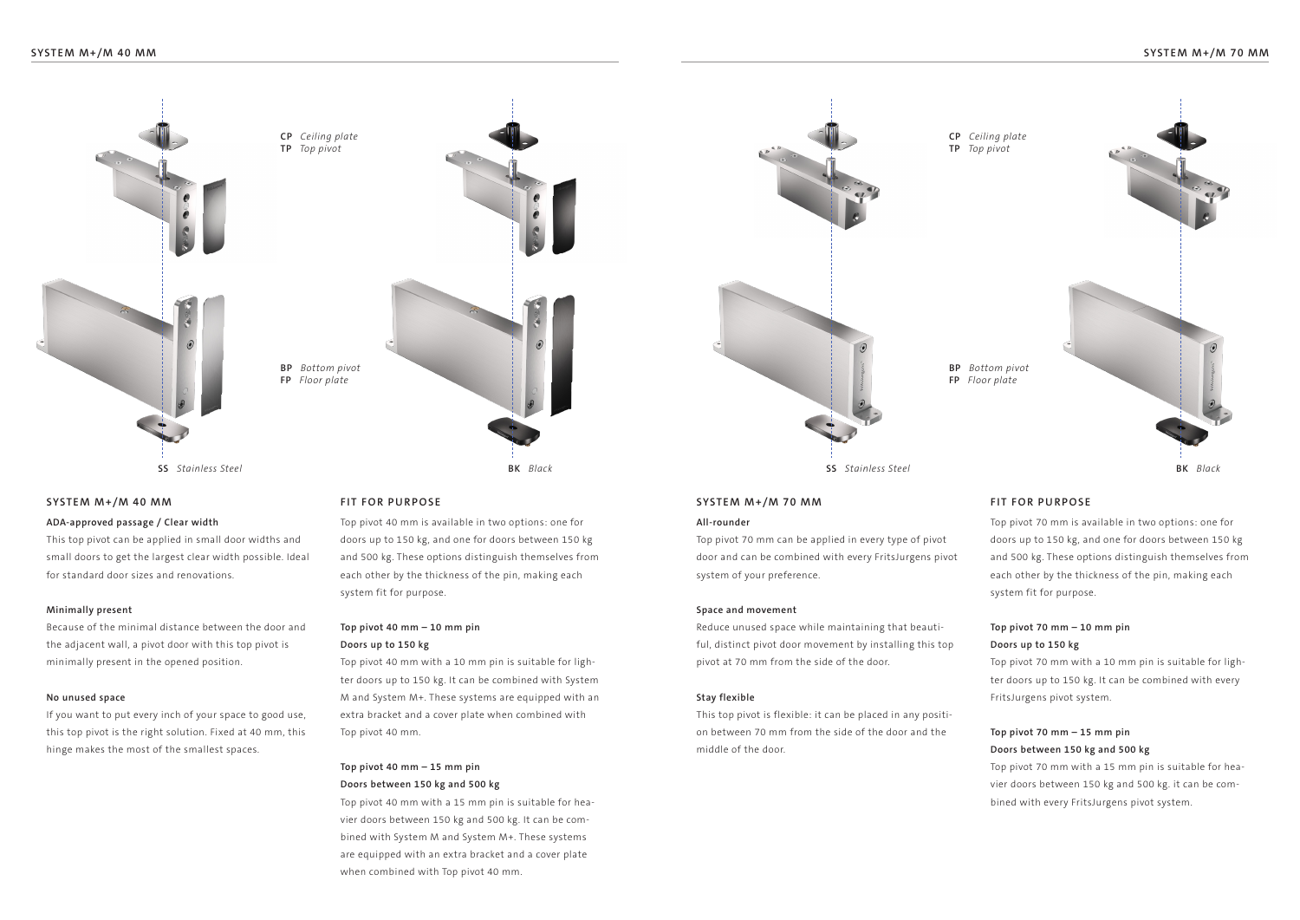**TP** *Top pivot*





# **SYSTEM M+/M 40 MM SYSTEM M+/M 40 MM**

## **ADA-approved passage / Clear width**

This top pivot can be applied in small door widths and small doors to get the largest clear width possible. Ideal for standard door sizes and renovations.

## **Minimally present**

Because of the minimal distance between the door and the adjacent wall, a pivot door with this top pivot is minimally present in the opened position.

## **No unused space**

If you want to put every inch of your space to good use, this top pivot is the right solution. Fixed at 40 mm, this hinge makes the most of the smallest spaces.

Top pivot 40 mm is available in two options: one for doors up to 150 kg, and one for doors between 150 kg and 500 kg. These options distinguish themselves from each other by the thickness of the pin, making each system fit for purpose.

# **Top pivot 40 mm – 10 mm pin**

### **Doors up to 150 kg**

Top pivot 40 mm with a 10 mm pin is suitable for lighter doors up to 150 kg. It can be combined with System M and System M+. These systems are equipped with an extra bracket and a cover plate when combined with Top pivot 40 mm.

# **Top pivot 40 mm – 15 mm pin Doors between 150 kg and 500 kg**

Top pivot 40 mm with a 15 mm pin is suitable for heavier doors between 150 kg and 500 kg. It can be combined with System M and System M+. These systems are equipped with an extra bracket and a cover plate when combined with Top pivot 40 mm.



## **FIT FOR PURPOSE FIT FOR PURPOSE**

#### **All-rounder**

Top pivot 70 mm can be applied in every type of pivot door and can be combined with every FritsJurgens pivot system of your preference.

#### **Space and movement**

Reduce unused space while maintaining that beautiful, distinct pivot door movement by installing this top pivot at 70 mm from the side of the door.

## **Stay flexible**

This top pivot is flexible: it can be placed in any position between 70 mm from the side of the door and the middle of the door.

Top pivot 70 mm is available in two options: one for doors up to 150 kg, and one for doors between 150 kg and 500 kg. These options distinguish themselves from each other by the thickness of the pin, making each system fit for purpose.

# **Top pivot 70 mm – 10 mm pin Doors up to 150 kg**

Top pivot 70 mm with a 10 mm pin is suitable for lighter doors up to 150 kg. It can be combined with every FritsJurgens pivot system.

# **Top pivot 70 mm – 15 mm pin Doors between 150 kg and 500 kg**

Top pivot 70 mm with a 15 mm pin is suitable for heavier doors between 150 kg and 500 kg. it can be combined with every FritsJurgens pivot system.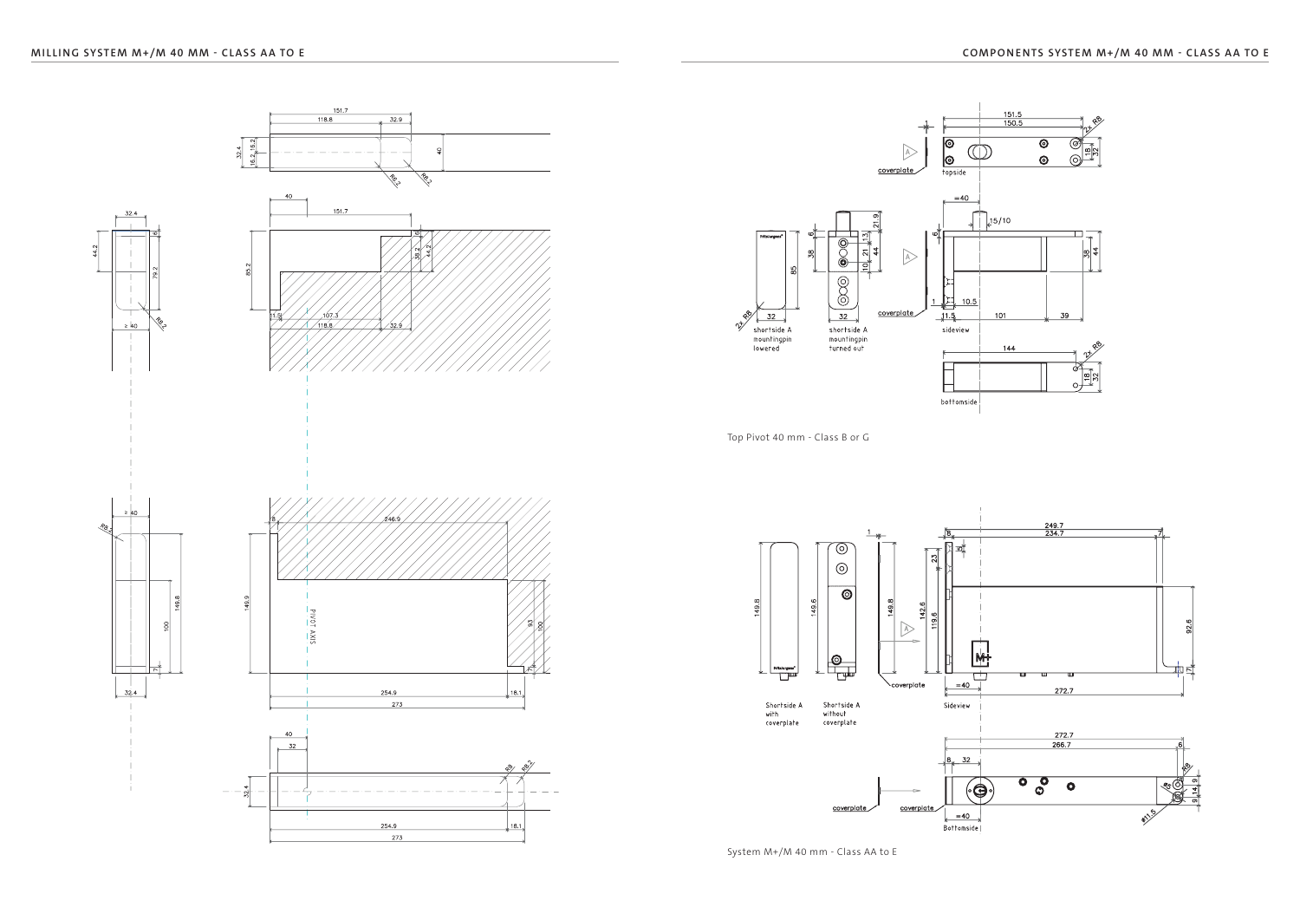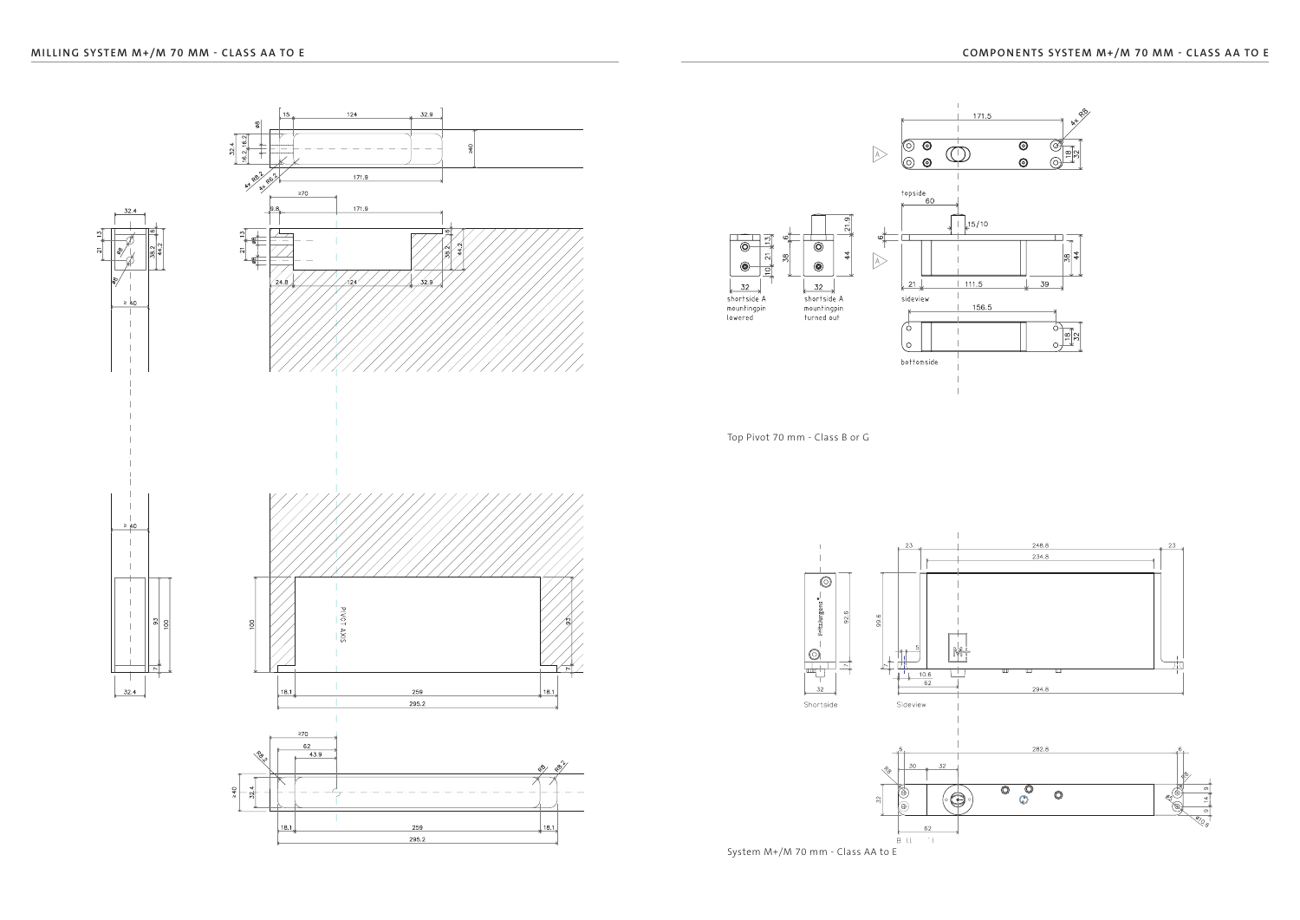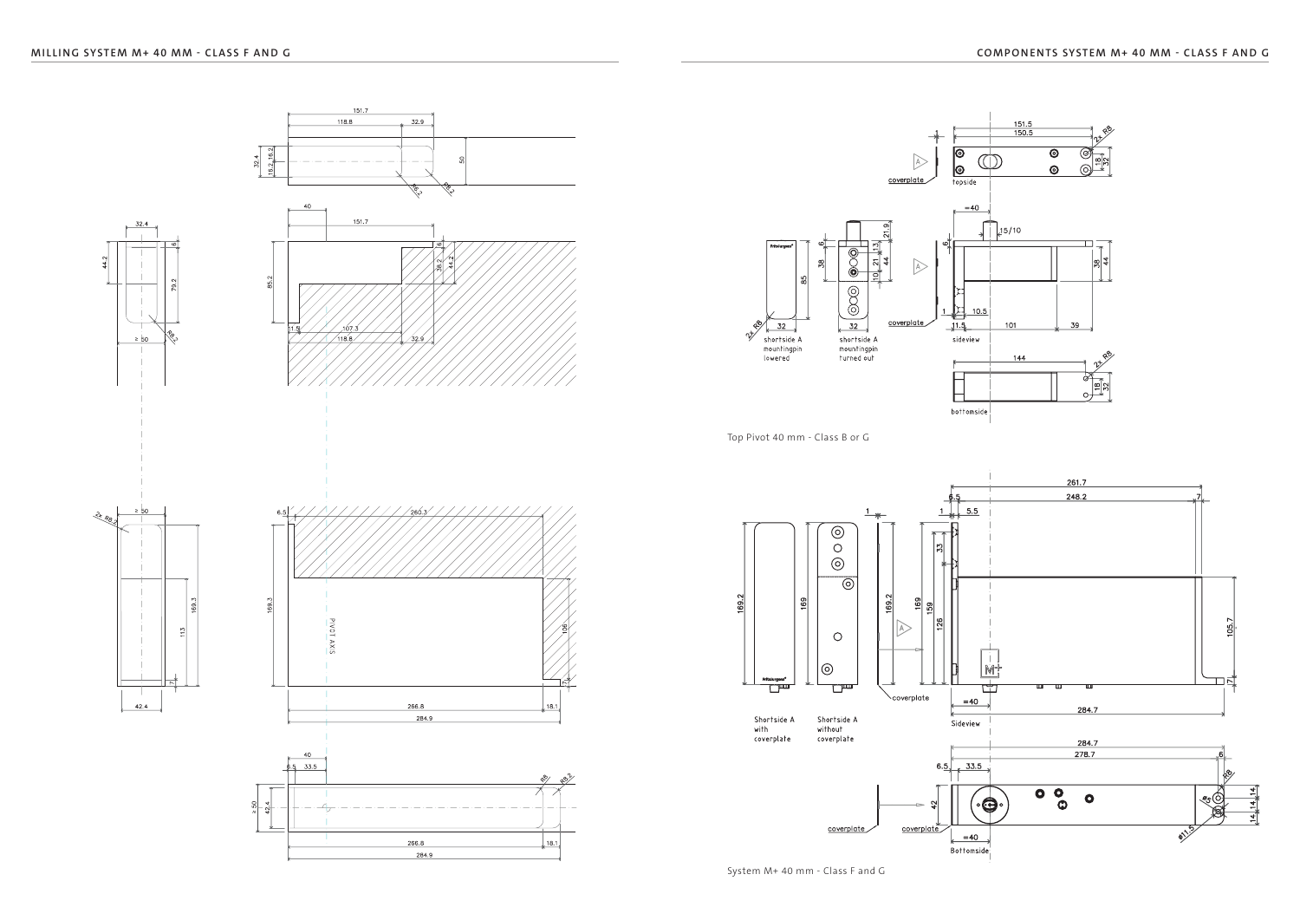